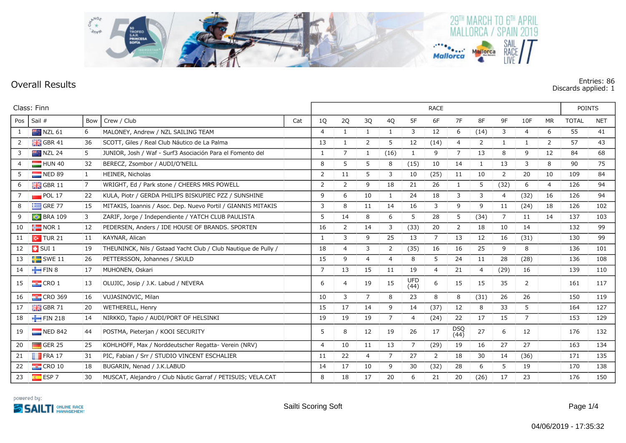

## **Overall Results Entries: 86 Discards applied: 1**

| Class: Finn  |                       |           |                                                                |     |                | <b>RACE</b>    |                |                |                    |                |                    |                |                |                |                |              | <b>POINTS</b> |  |  |
|--------------|-----------------------|-----------|----------------------------------------------------------------|-----|----------------|----------------|----------------|----------------|--------------------|----------------|--------------------|----------------|----------------|----------------|----------------|--------------|---------------|--|--|
| Pos          | Sail #                | Bow       | Crew / Club                                                    | Cat | 1Q             | 2Q             | 3Q             | 4Q             | 5F                 | 6F             | 7F                 | 8F             | 9F             | 10F            | <b>MR</b>      | <b>TOTAL</b> | <b>NET</b>    |  |  |
| $\mathbf{1}$ | NZL 61                | 6         | MALONEY, Andrew / NZL SAILING TEAM                             |     | $\overline{4}$ | 1              | $\mathbf{1}$   | $\mathbf{1}$   | 3                  | 12             | 6                  | (14)           | 3              | $\overline{4}$ | 6              | 55           | 41            |  |  |
| 2            | $\frac{1}{26}$ GBR 41 | 36        | SCOTT, Giles / Real Club Náutico de La Palma                   |     | 13             | 1              | 2              | 5              | 12                 | (14)           | 4                  | $\overline{2}$ | $\mathbf{1}$   | $\mathbf{1}$   | $\overline{2}$ | 57           | 43            |  |  |
| 3            | <b>NZL 24</b>         | 5         | JUNIOR, Josh / Waf - Surf3 Asociación Para el Fomento del      |     | 1              | 7              | 1              | (16)           | 1                  | 9              | 7                  | 13             | 8              | 9              | 12             | 84           | 68            |  |  |
| 4            | $\blacksquare$ HUN 40 | 32        | BERECZ, Zsombor / AUDI/O'NEILL                                 |     | 8              | 5              | 5              | 8              | (15)               | 10             | 14                 | 1              | 13             | 3              | 8              | 90           | 75            |  |  |
| 5            | NED 89                | $\vert$ 1 | <b>HEINER, Nicholas</b>                                        |     | $\overline{2}$ | 11             | 5              | 3              | 10                 | (25)           | 11                 | 10             | 2              | 20             | 10             | 109          | 84            |  |  |
| 6            | $\frac{1}{2}$ GBR 11  | 7         | WRIGHT, Ed / Park stone / CHEERS MRS POWELL                    |     | $\overline{2}$ | 2              | 9              | 18             | 21                 | 26             | 1                  | 5              | (32)           | 6              | 4              | 126          | 94            |  |  |
|              | POL 17                | 22        | KULA, Piotr / GERDA PHILIPS BISKUPIEC PZZ / SUNSHINE           |     | $\mathsf{Q}$   | 6              | 10             | $\mathbf{1}$   | 24                 | 18             | 3                  | 3              | $\overline{4}$ | (32)           | 16             | 126          | 94            |  |  |
| 8            | $\equiv$ GRE 77       | 15        | MITAKIS, Ioannis / Asoc. Dep. Nuevo Portil / GIANNIS MITAKIS   |     | 3              | 8              | 11             | 14             | 16                 | 3              | 9                  | 9              | 11             | (24)           | 18             | 126          | 102           |  |  |
| 9            | <b>BRA 109</b>        | 3         | ZARIF, Jorge / Independiente / YATCH CLUB PAULISTA             |     | 5              | 14             | 8              | 6              | 5                  | 28             | 5                  | (34)           | 7              | 11             | 14             | 137          | 103           |  |  |
| 10           | $\frac{1}{2}$ NOR 1   | 12        | PEDERSEN, Anders / IDE HOUSE OF BRANDS. SPORTEN                |     | 16             | 2              | 14             | 3              | (33)               | 20             | $\overline{2}$     | 18             | 10             | 14             |                | 132          | 99            |  |  |
| 11           | $\sim$ TUR 21         | 11        | KAYNAR, Alican                                                 |     | -1             | 3              | 9              | 25             | 13                 | $\overline{7}$ | 13                 | 12             | 16             | (31)           |                | 130          | 99            |  |  |
| 12           | $\Box$ SUI 1          | 19        | THEUNINCK, Nils / Gstaad Yacht Club / Club Nautique de Pully / |     | 18             | $\overline{4}$ | 3              | $\overline{2}$ | (35)               | 16             | 16                 | 25             | 9              | 8              |                | 136          | 101           |  |  |
| 13           | $\blacksquare$ SWE 11 | 26        | PETTERSSON, Johannes / SKULD                                   |     | 15             | 9              | $\overline{4}$ | $\overline{4}$ | 8                  | 5              | 24                 | 11             | 28             | (28)           |                | 136          | 108           |  |  |
| 14           | FIN 8                 | 17        | MUHONEN, Oskari                                                |     | $\overline{7}$ | 13             | 15             | 11             | 19                 | $\overline{4}$ | 21                 | 4              | (29)           | 16             |                | 139          | 110           |  |  |
| 15           | $\frac{1}{2}$ CRO 1   | 13        | OLUJIC, Josip / J.K. Labud / NEVERA                            |     | 6              | $\overline{4}$ | 19             | 15             | <b>UFD</b><br>(44) | 6              | 15                 | 15             | 35             | $\overline{2}$ |                | 161          | 117           |  |  |
| 16           | $\frac{1}{2}$ CRO 369 | 16        | VUJASINOVIC, Milan                                             |     | 10             | 3              | $\overline{7}$ | 8              | 23                 | 8              | 8                  | (31)           | 26             | 26             |                | 150          | 119           |  |  |
| 17           | $\frac{1}{26}$ GBR 71 | 20        | WETHERELL, Henry                                               |     | 15             | 17             | 14             | 9              | 14                 | (37)           | 12                 | 8              | 33             | 5              |                | 164          | 127           |  |  |
| 18           | FIN 218               | 14        | NIRKKO, Tapio / AUDI/PORT OF HELSINKI                          |     | 19             | 19             | 19             | $\overline{7}$ | $\overline{4}$     | (24)           | 22                 | 17             | 15             | $\overline{7}$ |                | 153          | 129           |  |  |
| 19           | NED 842               | 44        | POSTMA, Pieterjan / KOOI SECURITY                              |     | 5              | 8              | 12             | 19             | 26                 | 17             | <b>DSQ</b><br>(44) | 27             | 6              | 12             |                | 176          | 132           |  |  |
| 20           | $\Box$ GER 25         | 25        | KOHLHOFF, Max / Norddeutscher Regatta- Verein (NRV)            |     | $\overline{4}$ | 10             | 11             | 13             | $\overline{7}$     | (29)           | 19                 | 16             | 27             | 27             |                | 163          | 134           |  |  |
| 21           | $\blacksquare$ FRA 17 | 31        | PIC, Fabian / Srr / STUDIO VINCENT ESCHALIER                   |     | 11             | 22             | $\overline{4}$ | $\overline{7}$ | 27                 | 2              | 18                 | 30             | 14             | (36)           |                | 171          | 135           |  |  |
| 22           | $\frac{1}{2}$ CRO 10  | 18        | BUGARIN, Nenad / J.K.LABUD                                     |     | 14             | 17             | 10             | 9              | 30                 | (32)           | 28                 | 6              | 5              | 19             |                | 170          | 138           |  |  |
| 23           | $ESP$ 7               | 30        | MUSCAT, Alejandro / Club Nàutic Garraf / PETISUIS; VELA.CAT    |     | 8              | 18             | 17             | 20             | 6                  | 21             | 20                 | (26)           | 17             | 23             |                | 176          | 150           |  |  |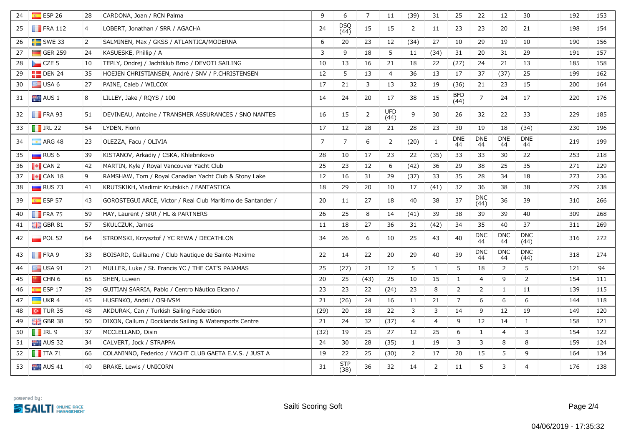| 24 | ESP <sub>26</sub>      | 28             | CARDONA, Joan / RCN Palma                                   | 9              | 6                  | $\overline{7}$ | 11             | (39)           | 31           | 25                 | 22                 | 12               | 30                 | 192 | 153 |
|----|------------------------|----------------|-------------------------------------------------------------|----------------|--------------------|----------------|----------------|----------------|--------------|--------------------|--------------------|------------------|--------------------|-----|-----|
| 25 | $\blacksquare$ FRA 112 | $\overline{4}$ | LOBERT, Jonathan / SRR / AGACHA                             | 24             | DSQ<br>(44)        | 15             | 15             | $\overline{2}$ | 11           | 23                 | 23                 | 20               | 21                 | 198 | 154 |
| 26 | $SWE$ SWE 33           | 2              | SALMINEN, Max / GKSS / ATLANTICA/MODERNA                    | 6              | 20                 | 23             | 12             | (34)           | 27           | 10                 | 29                 | 19               | 10                 | 190 | 156 |
| 27 | $\Box$ GER 259         | 24             | KASUESKE, Phillip / A                                       | $\mathbf{3}$   | 9                  | 18             | 5              | 11             | (34)         | 31                 | 20                 | 31               | 29                 | 191 | 157 |
| 28 | $CZE$ 5                | 10             | TEPLY, Ondrej / Jachtklub Brno / DEVOTI SAILING             | 10             | 13                 | 16             | 21             | 18             | 22           | (27)               | 24                 | 21               | 13                 | 185 | 158 |
| 29 | $\Box$ DEN 24          | 35             | HOEJEN CHRISTIANSEN, André / SNV / P.CHRISTENSEN            | 12             | 5                  | 13             | $\overline{4}$ | 36             | 13           | 17                 | 37                 | (37)             | 25                 | 199 | 162 |
| 30 | USA 6                  | 27             | PAINE, Caleb / WILCOX                                       | 17             | 21                 | 3              | 13             | 32             | 19           | (36)               | 21                 | 23               | 15                 | 200 | 164 |
| 31 | AUS <sub>1</sub>       | 8              | LILLEY, Jake / RQYS / 100                                   | 14             | 24                 | 20             | 17             | 38             | 15           | <b>BFD</b><br>(44) | $\overline{7}$     | 24               | 17                 | 220 | 176 |
| 32 | $\blacksquare$ FRA 93  | 51             | DEVINEAU, Antoine / TRANSMER ASSURANCES / SNO NANTES        | 16             | 15                 | $\overline{2}$ | UFD<br>(44)    | 9              | 30           | 26                 | 32                 | 22               | 33                 | 229 | 185 |
| 33 | $\blacksquare$ IRL 22  | 54             | LYDEN, Fionn                                                | 17             | 12                 | 28             | 21             | 28             | 23           | 30                 | 19                 | 18               | (34)               | 230 | 196 |
| 34 | $\blacksquare$ ARG 48  | 23             | OLEZZA, Facu / OLIVIA                                       | $\overline{7}$ | $\overline{7}$     | 6              | $\overline{2}$ | (20)           | $\mathbf{1}$ | <b>DNE</b><br>44   | <b>DNE</b><br>44   | <b>DNE</b><br>44 | <b>DNE</b><br>44   | 219 | 199 |
| 35 | RUS <sub>6</sub>       | 39             | KISTANOV, Arkadiy / CSKA, Khlebnikovo                       | 28             | 10                 | 17             | 23             | 22             | (35)         | 33                 | 33                 | 30               | 22                 | 253 | 218 |
| 36 | $\bullet$ CAN 2        | 42             | MARTIN, Kyle / Royal Vancouver Yacht Club                   | 25             | 23                 | 12             | 6              | (42)           | 36           | 29                 | 38                 | 25               | 35                 | 271 | 229 |
| 37 | $\blacksquare$ CAN 18  | 9              | RAMSHAW, Tom / Royal Canadian Yacht Club & Stony Lake       | 12             | 16                 | 31             | 29             | (37)           | 33           | 35                 | 28                 | 34               | 18                 | 273 | 236 |
| 38 | $RUS$ 73               | 41             | KRUTSKIKH, Vladimir Krutskikh / FANTASTICA                  | 18             | 29                 | 20             | 10             | 17             | (41)         | 32                 | 36                 | 38               | 38                 | 279 | 238 |
| 39 | $E = ESP 57$           | 43             | GOROSTEGUI ARCE, Victor / Real Club Marítimo de Santander / | 20             | 11                 | 27             | 18             | 40             | 38           | 37                 | <b>DNC</b><br>(44) | 36               | 39                 | 310 | 266 |
| 40 | $\blacksquare$ FRA 75  | 59             | HAY, Laurent / SRR / HL & PARTNERS                          | 26             | 25                 | 8              | 14             | (41)           | 39           | 38                 | 39                 | 39               | 40                 | 309 | 268 |
| 41 | $\frac{1}{200}$ GBR 81 | 57             | SKULCZUK, James                                             | 11             | 18                 | 27             | 36             | 31             | (42)         | 34                 | 35                 | 40               | 37                 | 311 | 269 |
| 42 | $\blacksquare$ POL 52  | 64             | STROMSKI, Krzysztof / YC REWA / DECATHLON                   | 34             | 26                 | 6              | 10             | 25             | 43           | 40                 | <b>DNC</b><br>44   | <b>DNC</b><br>44 | <b>DNC</b><br>(44) | 316 | 272 |
| 43 | FRA 9                  | 33             | BOISARD, Guillaume / Club Nautique de Sainte-Maxime         | 22             | 14                 | 22             | 20             | 29             | 40           | 39                 | <b>DNC</b><br>44   | <b>DNC</b><br>44 | <b>DNC</b><br>(44) | 318 | 274 |
| 44 | $\equiv$ USA 91        | 21             | MULLER, Luke / St. Francis YC / THE CAT'S PAJAMAS           | 25             | (27)               | 21             | 12             | 5              | $\mathbf{1}$ | 5                  | 18                 | 2                | 5                  | 121 | 94  |
| 45 | <b>P</b> CHN 6         | 65             | SHEN, Luwen                                                 | 20             | 25                 | (43)           | 25             | 10             | 15           | $\mathbf{1}$       | $\overline{4}$     | 9                | $\overline{2}$     | 154 | 111 |
| 46 | $E$ ESP 17             | 29             | GUITIAN SARRIA, Pablo / Centro Náutico Elcano /             | 23             | 23                 | 22             | (24)           | 23             | 8            | $\overline{2}$     | $\overline{2}$     | $\mathbf{1}$     | 11                 | 139 | 115 |
| 47 | UKR <sub>4</sub>       | 45             | HUSENKO, Andrii / OSHVSM                                    | 21             | (26)               | 24             | 16             | 11             | 21           | $\overline{7}$     | 6                  | 6                | 6                  | 144 | 118 |
| 48 | $\sim$ TUR 35          | 48             | AKDURAK, Can / Turkish Sailing Federation                   | (29)           | 20                 | 18             | 22             | 3              | 3            | 14                 | 9                  | 12               | 19                 | 149 | 120 |
| 49 | $\frac{1}{26}$ GBR 38  | 50             | DIXON, Callum / Docklands Sailing & Watersports Centre      | 21             | 24                 | 32             | (37)           | $\overline{4}$ | 4            | 9                  | 12                 | 14               | 1                  | 158 | 121 |
| 50 | $\blacksquare$ IRL 9   | 37             | MCCLELLAND, Oisin                                           | (32)           | 19                 | 25             | 27             | 12             | 25           | 6                  | 1                  | $\overline{4}$   | 3                  | 154 | 122 |
| 51 | AUS <sub>32</sub>      | 34             | CALVERT, Jock / STRAPPA                                     | 24             | 30                 | 28             | (35)           | $\mathbf{1}$   | 19           | 3                  | 3                  | 8                | 8                  | 159 | 124 |
| 52 | $\blacksquare$ ITA 71  | 66             | COLANINNO, Federico / YACHT CLUB GAETA E.V.S. / JUST A      | 19             | 22                 | 25             | (30)           | $\overline{2}$ | 17           | 20                 | 15                 | 5                | 9                  | 164 | 134 |
| 53 | $\blacksquare$ AUS 41  | 40             | BRAKE, Lewis / UNICORN                                      | 31             | <b>STP</b><br>(38) | 36             | 32             | 14             | 2            | 11                 | 5                  | 3                | $\overline{4}$     | 176 | 138 |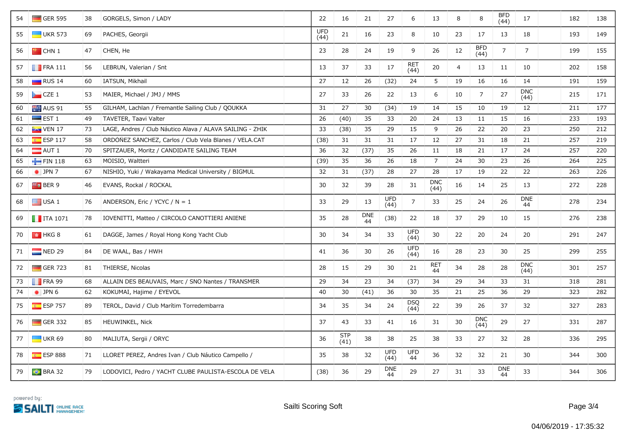| 54 | $\Box$ GER 595          | 38 | GORGELS, Simon / LADY                                    | 22                 | 16                 | 21               | 27                 | 6                  | 13                 | 8  | $\,8\,$            | <b>BFD</b><br>(44) | 17                 | 182 | 138 |
|----|-------------------------|----|----------------------------------------------------------|--------------------|--------------------|------------------|--------------------|--------------------|--------------------|----|--------------------|--------------------|--------------------|-----|-----|
| 55 | $\Box$ UKR 573          | 69 | PACHES, Georgii                                          | <b>UFD</b><br>(44) | 21                 | 16               | 23                 | 8                  | 10                 | 23 | 17                 | 13                 | 18                 | 193 | 149 |
| 56 | $\bullet$ CHN 1         | 47 | CHEN, He                                                 | 23                 | 28                 | 24               | 19                 | 9                  | 26                 | 12 | <b>BFD</b><br>(44) | $\overline{7}$     | $\overline{7}$     | 199 | 155 |
| 57 | $\blacksquare$ FRA 111  | 56 | LEBRUN, Valerian / Snt                                   | 13                 | 37                 | 33               | 17                 | <b>RET</b><br>(44) | 20                 | 4  | 13                 | 11                 | 10                 | 202 | 158 |
| 58 | $\Box$ RUS 14           | 60 | IATSUN, Mikhail                                          | 27                 | 12                 | 26               | (32)               | 24                 | 5                  | 19 | 16                 | 16                 | 14                 | 191 | 159 |
| 59 | $\Box$ CZE 1            | 53 | MAIER, Michael / JMJ / MMS                               | 27                 | 33                 | 26               | 22                 | 13                 | 6                  | 10 | $\overline{7}$     | 27                 | <b>DNC</b><br>(44) | 215 | 171 |
| 60 | AUS 91                  | 55 | GILHAM, Lachlan / Fremantle Sailing Club / QOUKKA        | 31                 | 27                 | 30               | (34)               | 19                 | 14                 | 15 | 10                 | 19                 | 12                 | 211 | 177 |
| 61 | $\blacksquare$ EST 1    | 49 | TAVETER, Taavi Valter                                    | 26                 | (40)               | 35               | 33                 | 20                 | 24                 | 13 | 11                 | 15                 | 16                 | 233 | 193 |
| 62 | $\approx$ VEN 17        | 73 | LAGE, Andres / Club Náutico Álava / ALAVA SAILING - ZHIK | 33                 | (38)               | 35               | 29                 | 15                 | 9                  | 26 | 22                 | 20                 | 23                 | 250 | 212 |
| 63 | $E = ESP 117$           | 58 | ORDONEZ SANCHEZ, Carlos / Club Vela Blanes / VELA.CAT    | (38)               | 31                 | 31               | 31                 | 17                 | 12                 | 27 | 31                 | 18                 | 21                 | 257 | 219 |
| 64 | $\blacksquare$ AUT 1    | 70 | SPITZAUER, Moritz / CANDIDATE SAILING TEAM               | 36                 | 32                 | (37)             | 35                 | 26                 | 11                 | 18 | 21                 | 17                 | 24                 | 257 | 220 |
| 65 | FIN 118                 | 63 | MOISIO, Waltteri                                         | (39)               | 35                 | 36               | 26                 | 18                 | $\overline{7}$     | 24 | 30                 | 23                 | 26                 | 264 | 225 |
| 66 | $\bullet$ JPN 7         | 67 | NISHIO, Yuki / Wakayama Medical University / BIGMUL      | 32                 | 31                 | (37)             | 28                 | 27                 | 28                 | 17 | 19                 | 22                 | 22                 | 263 | 226 |
| 67 | <b>Fo</b> BER 9         | 46 | EVANS, Rockal / ROCKAL                                   | 30                 | 32                 | 39               | 28                 | 31                 | <b>DNC</b><br>(44) | 16 | 14                 | 25                 | 13                 | 272 | 228 |
| 68 | $\Box$ USA 1            | 76 | ANDERSON, Eric / YCYC / $N = 1$                          | 33                 | 29                 | 13               | <b>UFD</b><br>(44) | $\overline{7}$     | 33                 | 25 | 24                 | 26                 | <b>DNE</b><br>44   | 278 | 234 |
| 69 | $\blacksquare$ ITA 1071 | 78 | IOVENITTI, Matteo / CIRCOLO CANOTTIERI ANIENE            | 35                 | 28                 | <b>DNE</b><br>44 | (38)               | 22                 | 18                 | 37 | 29                 | 10                 | 15                 | 276 | 238 |
| 70 | $\parallel$ + HKG 8     | 61 | DAGGE, James / Royal Hong Kong Yacht Club                | 30                 | 34                 | 34               | 33                 | UFD<br>(44)        | 30                 | 22 | 20                 | 24                 | 20                 | 291 | 247 |
| 71 | $NED$ 29                | 84 | DE WAAL, Bas / HWH                                       | 41                 | 36                 | 30               | 26                 | <b>UFD</b><br>(44) | 16                 | 28 | 23                 | 30                 | 25                 | 299 | 255 |
| 72 | $\Box$ GER 723          | 81 | THIERSE, Nicolas                                         | 28                 | 15                 | 29               | 30                 | 21                 | <b>RET</b><br>44   | 34 | 28                 | 28                 | <b>DNC</b><br>(44) | 301 | 257 |
| 73 | $\blacksquare$ FRA 99   | 68 | ALLAIN DES BEAUVAIS, Marc / SNO Nantes / TRANSMER        | 29                 | 34                 | 23               | 34                 | (37)               | 34                 | 29 | 34                 | 33                 | 31                 | 318 | 281 |
| 74 | $\bullet$ JPN 6         | 62 | KOKUMAI, Hajime / EYEVOL                                 | 40                 | 30                 | (41)             | 36                 | 30                 | 35                 | 21 | 25                 | 36                 | 29                 | 323 | 282 |
| 75 | <b>R</b> ESP 757        | 89 | TEROL, David / Club Marítim Torredembarra                | 34                 | 35                 | 34               | 24                 | DSQ<br>(44)        | 22                 | 39 | 26                 | 37                 | 32                 | 327 | 283 |
| 76 | $\blacksquare$ GER 332  | 85 | HEUWINKEL, Nick                                          | 37                 | 43                 | 33               | 41                 | 16                 | 31                 | 30 | <b>DNC</b><br>(44) | 29                 | 27                 | 331 | 287 |
| 77 | $\Box$ UKR 69           | 80 | MALIUTA, Sergii / ORYC                                   | 36                 | <b>STP</b><br>(41) | 38               | 38                 | 25                 | 38                 | 33 | 27                 | 32                 | 28                 | 336 | 295 |
| 78 | $E$ ESP 888             | 71 | LLORET PEREZ, Andres Ivan / Club Náutico Campello /      | 35                 | 38                 | 32               | <b>UFD</b><br>(44) | UFD<br>44          | 36                 | 32 | 32                 | 21                 | 30                 | 344 | 300 |
| 79 | $\bullet$ BRA 32        | 79 | LODOVICI, Pedro / YACHT CLUBE PAULISTA-ESCOLA DE VELA    | (38)               | 36                 | 29               | <b>DNE</b><br>44   | 29                 | 27                 | 31 | 33                 | <b>DNE</b><br>44   | 33                 | 344 | 306 |